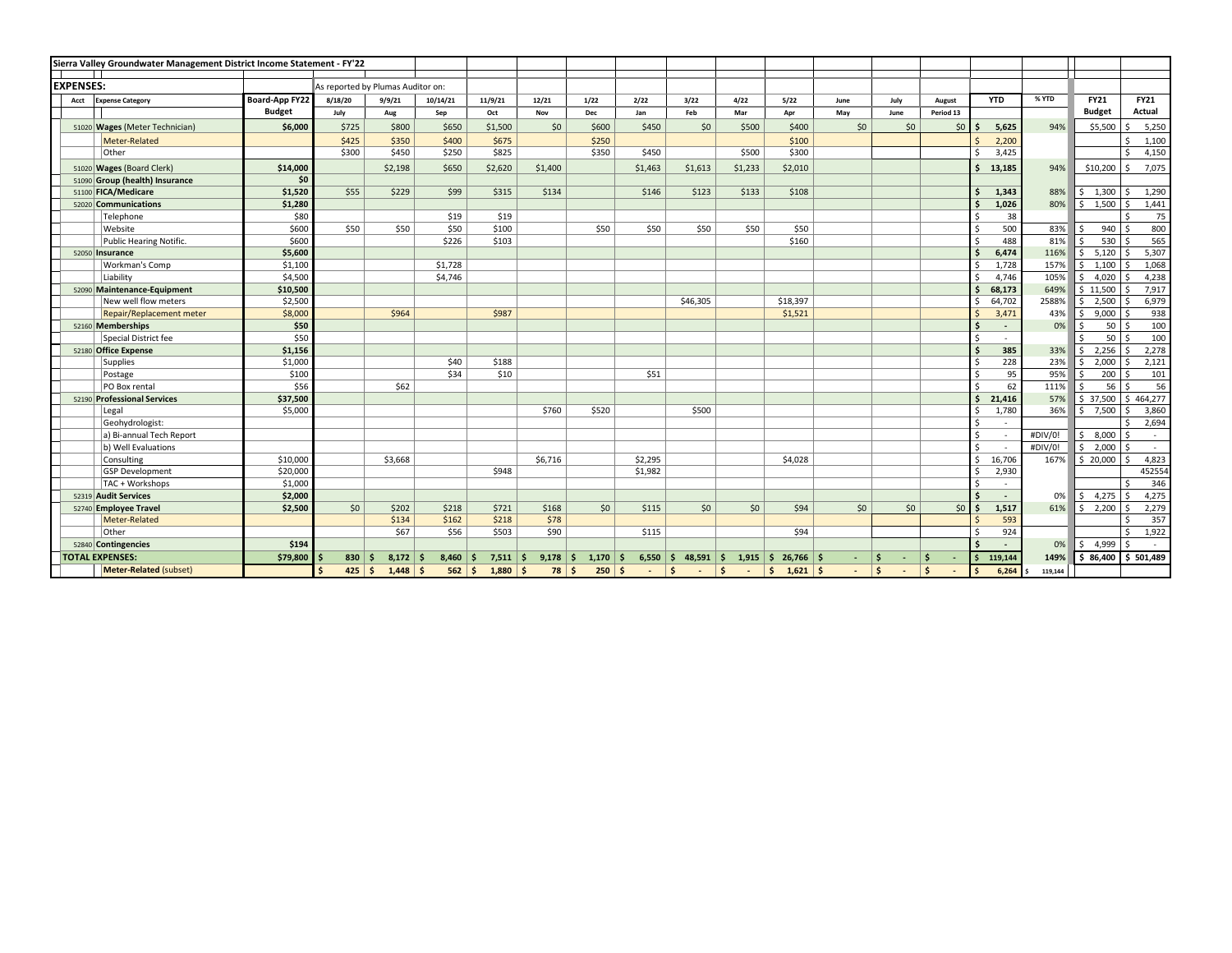|                                 | Sierra Valley Groundwater Management District Income Statement - FY'22 |                                   |          |                  |               |                |                   |            |                 |                        |               |                         |      |      |                        |            |         |                       |             |
|---------------------------------|------------------------------------------------------------------------|-----------------------------------|----------|------------------|---------------|----------------|-------------------|------------|-----------------|------------------------|---------------|-------------------------|------|------|------------------------|------------|---------|-----------------------|-------------|
| <b>EXPENSES:</b>                |                                                                        | As reported by Plumas Auditor on: |          |                  |               |                |                   |            |                 |                        |               |                         |      |      |                        |            |         |                       |             |
| <b>Expense Category</b><br>Acct |                                                                        | Board-App FY22                    | 8/18/20  | 9/9/21           | 10/14/21      | 11/9/21        | 12/21             | 1/22       | 2/22            | 3/22                   | 4/22          | 5/22                    | June | July | August                 | <b>YTD</b> | % YTD   | <b>FY21</b>           | <b>FY21</b> |
|                                 |                                                                        | <b>Budget</b>                     | July     | Aug              | Sep           | Oct            | Nov               | Dec        | Jan             | Feb                    | Mar           | Apr                     | May  | June | Period 13              |            |         | <b>Budget</b>         | Actual      |
|                                 |                                                                        |                                   | \$725    | \$800            |               |                |                   |            |                 |                        | \$500         |                         |      |      |                        | ¢          | 94%     | \$5,500               |             |
|                                 | 51020 Wages (Meter Technician)                                         | \$6,000                           |          |                  | \$650         | \$1,500        | \$0               | \$600      | \$450           | \$0                    |               | \$400                   | \$0  | \$0  | \$0                    | 5,625      |         |                       | 5,250       |
|                                 | Meter-Related                                                          |                                   | \$425    | \$350            | \$400         | \$675<br>\$825 |                   | \$250      |                 |                        |               | \$100<br>\$300          |      |      |                        | 2,200      |         |                       | 1,100<br>ς. |
|                                 | Other                                                                  |                                   | \$300    | \$450            | \$250         |                |                   | \$350      | \$450           |                        | \$500         |                         |      |      |                        | 3,425      |         |                       | 4,150       |
|                                 | 51020 Wages (Board Clerk)                                              | \$14,000                          |          | \$2,198          | \$650         | \$2,620        | \$1,400           |            | \$1,463         | \$1,613                | \$1,233       | \$2,010                 |      |      |                        | 13,185     | 94%     | \$10,200              | 7,075       |
|                                 | 51090 Group (health) Insurance                                         | \$0                               |          |                  |               |                |                   |            |                 |                        |               |                         |      |      |                        |            |         |                       |             |
|                                 | 51100 FICA/Medicare                                                    | \$1,520                           | \$55     | \$229            | \$99          | \$315          | \$134             |            | \$146           | \$123                  | \$133         | \$108                   |      |      |                        | 1,343      | 88%     | \$1,300               | 1,290       |
|                                 | 52020 Communications                                                   | \$1,280                           |          |                  |               |                |                   |            |                 |                        |               |                         |      |      |                        | 1,026      | 80%     | 1,500<br>\$           | 1,441       |
|                                 | Telephone                                                              | \$80                              |          |                  | \$19          | \$19           |                   |            |                 |                        |               |                         |      |      |                        | 38         |         |                       | 75          |
|                                 | Website                                                                | \$600                             | \$50     | \$50             | \$50          | \$100          |                   | \$50       | \$50            | \$50                   | \$50          | \$50                    |      |      |                        | 500        | 83%     | 940                   | 800         |
|                                 | Public Hearing Notific.                                                | \$600                             |          |                  | \$226         | \$103          |                   |            |                 |                        |               | \$160                   |      |      |                        | 488        | 81%     | 530<br>Ŝ.             | 565         |
|                                 | 52050 Insurance                                                        | \$5,600                           |          |                  |               |                |                   |            |                 |                        |               |                         |      |      |                        | 6,474      | 116%    | 5,120<br>Ŝ.           | 5,307       |
|                                 | Workman's Comp                                                         | \$1,100                           |          |                  | \$1,728       |                |                   |            |                 |                        |               |                         |      |      |                        | 1,728      | 157%    | 1,100<br>Š.           | 1,068       |
|                                 | Liability                                                              | \$4,500                           |          |                  | \$4,746       |                |                   |            |                 |                        |               |                         |      |      |                        | 4,746      | 105%    | 4,020<br>Ŝ.           | 4,238       |
|                                 | 52090 Maintenance-Equipment                                            | \$10,500                          |          |                  |               |                |                   |            |                 |                        |               |                         |      |      |                        | 68,173     | 649%    | \$11,500              | 7,917       |
|                                 | New well flow meters                                                   | \$2,500                           |          |                  |               |                |                   |            |                 | \$46,305               |               | \$18,397                |      |      |                        | 64,702     | 2588%   | 2,500<br>Ŝ.           | 6,979       |
|                                 | <b>Repair/Replacement meter</b>                                        | \$8,000                           |          | \$964            |               | \$987          |                   |            |                 |                        |               | \$1,521                 |      |      |                        | 3,471      | 43%     | 9,000<br>S.           | 938         |
|                                 | 52160 Memberships                                                      | \$50                              |          |                  |               |                |                   |            |                 |                        |               |                         |      |      |                        | $\sim$     | 0%      | 50<br>$\mathsf{s}$    | 100         |
|                                 | Special District fee                                                   | \$50                              |          |                  |               |                |                   |            |                 |                        |               |                         |      |      |                        | $\sim$     |         | 50<br><sup>\$</sup>   | 100         |
|                                 | 52180 Office Expense                                                   | \$1,156                           |          |                  |               |                |                   |            |                 |                        |               |                         |      |      |                        | 385        | 33%     | 2,256<br>S.           | 2,278       |
|                                 | Supplies                                                               | \$1,000                           |          |                  | \$40          | \$188          |                   |            |                 |                        |               |                         |      |      |                        | 228        | 23%     | 2,000<br>Ŝ.           | 2,121       |
|                                 | Postage                                                                | \$100                             |          |                  | \$34          | \$10           |                   |            | \$51            |                        |               |                         |      |      |                        | 95         | 95%     | 200<br>Ŝ.             | 101         |
|                                 | PO Box rental                                                          | \$56                              |          | \$62             |               |                |                   |            |                 |                        |               |                         |      |      |                        | 62         | 111%    | 56                    | 56          |
|                                 | 52190 Professional Services                                            | \$37,500                          |          |                  |               |                |                   |            |                 |                        |               |                         |      |      |                        | 21,416     | 57%     | \$37,500              | \$464,277   |
|                                 | Legal                                                                  | \$5,000                           |          |                  |               |                | \$760             | \$520      |                 | \$500                  |               |                         |      |      |                        | 1,780      | 36%     | 7,500<br>$\zeta$      | 3,860       |
|                                 | Geohydrologist:                                                        |                                   |          |                  |               |                |                   |            |                 |                        |               |                         |      |      |                        | $\sim$     |         |                       | 2,694       |
|                                 | a) Bi-annual Tech Report                                               |                                   |          |                  |               |                |                   |            |                 |                        |               |                         |      |      |                        |            | #DIV/0! | 8,000<br>Ŝ.           | $\sim$      |
|                                 | b) Well Evaluations                                                    |                                   |          |                  |               |                |                   |            |                 |                        |               |                         |      |      |                        | ٠.         | #DIV/0! | 2,000<br>S.           | $\sim$      |
|                                 | Consulting                                                             | \$10,000                          |          | \$3,668          |               |                | \$6,716           |            | \$2,295         |                        |               | \$4,028                 |      |      |                        | 16,706     | 167%    | \$20,000              | 4,823       |
|                                 | <b>GSP Development</b>                                                 | \$20,000                          |          |                  |               | \$948          |                   |            | \$1,982         |                        |               |                         |      |      |                        | 2,930      |         |                       | 452554      |
|                                 | TAC + Workshops                                                        | \$1,000<br>\$2,000                |          |                  |               |                |                   |            |                 |                        |               |                         |      |      |                        | $\sim$     |         |                       | 346         |
|                                 | 52319 Audit Services                                                   |                                   |          |                  |               |                |                   |            |                 |                        |               |                         |      |      |                        | $\sim$     | 0%      | 4,275<br>S.           | 4,275       |
|                                 | 52740 Employee Travel                                                  | \$2,500                           | \$0      | \$202            | \$218         | \$721          | \$168             | 50         | \$115           | 50                     | \$0           | \$94                    | \$0  | \$0  | 50 <sup>1</sup>        | 1,517      | 61%     | 2,200<br>$\mathsf{S}$ | 2,279       |
|                                 | Meter-Related                                                          |                                   |          | \$134            | \$162         | \$218          | \$78              |            |                 |                        |               |                         |      |      |                        | 593        |         |                       | 357         |
|                                 | <b>Other</b>                                                           |                                   |          | \$67             | \$56          | \$503          | \$90              |            | \$115           |                        |               | \$94                    |      |      |                        | 924        |         |                       | 1,922<br>¢  |
|                                 | 52840 Contingencies                                                    | \$194                             |          |                  |               |                |                   |            |                 |                        |               |                         |      |      |                        |            | 0%      | 4,999<br>S.           |             |
|                                 | <b>TOTAL EXPENSES:</b>                                                 | \$79,800                          | 830      | $8,172$ \$<br>S. | 8,460         | 7,511          | $9,178$ \$<br>۱s  | $1,170$ \$ | 6,550           | $48,591$ \$<br>s.      | 1,915         | $\frac{1}{2}$ 26,766 \$ |      | -\$  | Ŝ<br>$\sim$            | 119,144    | 149%    | \$86,400              | \$501,489   |
|                                 | Meter-Related (subset)                                                 |                                   | $425$ \$ | $1,448$ \$       | $562 \mid$ \$ | 1,880          | $78 \mid 5$<br>۱s | $250$ \$   | $\sim$ 10 $\pm$ | $\mathsf{s}$<br>$\sim$ | ۱\$<br>$\sim$ | $\frac{1}{2}$ 1,621 \$  |      | l\$  | $\mathsf{s}$<br>$\sim$ | 6,264      | 119,144 |                       |             |